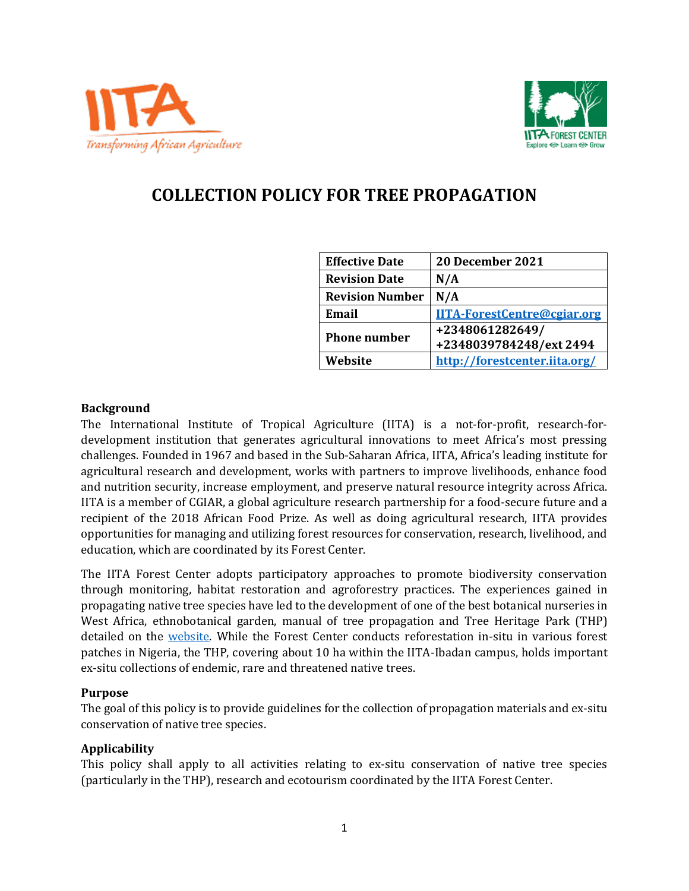



# **COLLECTION POLICY FOR TREE PROPAGATION**

| <b>Effective Date</b>  | 20 December 2021                   |
|------------------------|------------------------------------|
| <b>Revision Date</b>   | N/A                                |
| <b>Revision Number</b> | N/A                                |
| Email                  | <b>IITA-ForestCentre@cgiar.org</b> |
| <b>Phone number</b>    | +2348061282649/                    |
|                        | +2348039784248/ext 2494            |
| Website                | http://forestcenter.iita.org/      |

# **Background**

The International Institute of Tropical Agriculture (IITA) is a not-for-profit, research-fordevelopment institution that generates agricultural innovations to meet Africa's most pressing challenges. Founded in 1967 and based in the Sub-Saharan Africa, IITA, Africa's leading institute for agricultural research and development, works with partners to improve livelihoods, enhance food and nutrition security, increase employment, and preserve natural resource integrity across Africa. IITA is a member of CGIAR, a global agriculture research partnership for a food-secure future and a recipient of the 2018 African Food Prize. As well as doing agricultural research, IITA provides opportunities for managing and utilizing forest resources for conservation, research, livelihood, and education, which are coordinated by its Forest Center.

The IITA Forest Center adopts participatory approaches to promote biodiversity conservation through monitoring, habitat restoration and agroforestry practices. The experiences gained in propagating native tree species have led to the development of one of the best botanical nurseries in West Africa, ethnobotanical garden, manual of tree propagation and Tree Heritage Park (THP) detailed on the [website.](http://forestcenter.iita.org/) While the Forest Center conducts reforestation in-situ in various forest patches in Nigeria, the THP, covering about 10 ha within the IITA-Ibadan campus, holds important ex-situ collections of endemic, rare and threatened native trees.

#### **Purpose**

The goal of this policy is to provide guidelines for the collection of propagation materials and ex-situ conservation of native tree species.

# **Applicability**

This policy shall apply to all activities relating to ex-situ conservation of native tree species (particularly in the THP), research and ecotourism coordinated by the IITA Forest Center.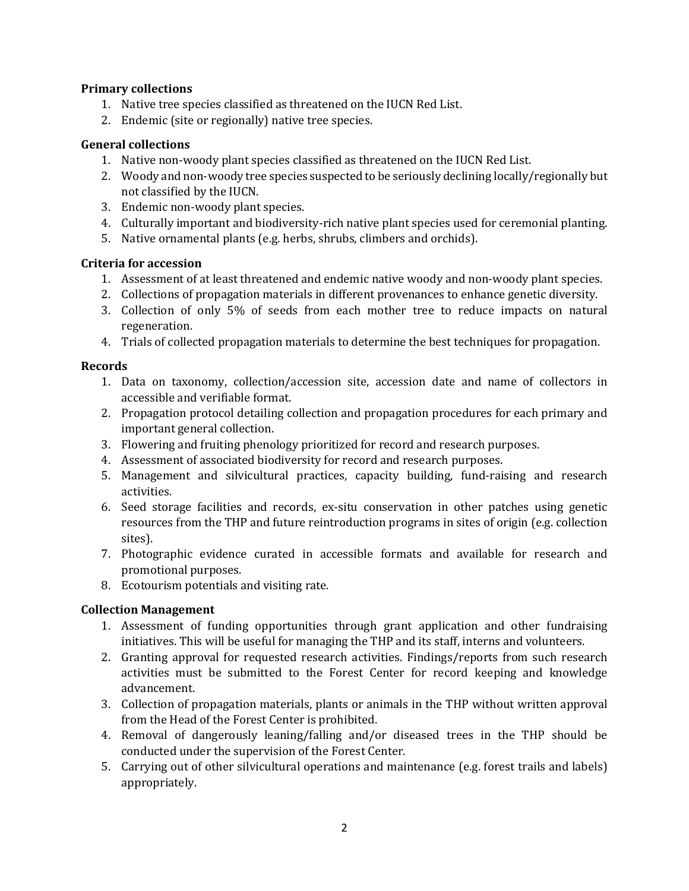# **Primary collections**

- 1. Native tree species classified as threatened on the IUCN Red List.
- 2. Endemic (site or regionally) native tree species.

# **General collections**

- 1. Native non-woody plant species classified as threatened on the IUCN Red List.
- 2. Woody and non-woody tree species suspected to be seriously declining locally/regionally but not classified by the IUCN.
- 3. Endemic non-woody plant species.
- 4. Culturally important and biodiversity-rich native plant species used for ceremonial planting.
- 5. Native ornamental plants (e.g. herbs, shrubs, climbers and orchids).

# **Criteria for accession**

- 1. Assessment of at least threatened and endemic native woody and non-woody plant species.
- 2. Collections of propagation materials in different provenances to enhance genetic diversity.
- 3. Collection of only 5% of seeds from each mother tree to reduce impacts on natural regeneration.
- 4. Trials of collected propagation materials to determine the best techniques for propagation.

#### **Records**

- 1. Data on taxonomy, collection/accession site, accession date and name of collectors in accessible and verifiable format.
- 2. Propagation protocol detailing collection and propagation procedures for each primary and important general collection.
- 3. Flowering and fruiting phenology prioritized for record and research purposes.
- 4. Assessment of associated biodiversity for record and research purposes.
- 5. Management and silvicultural practices, capacity building, fund-raising and research activities.
- 6. Seed storage facilities and records, ex-situ conservation in other patches using genetic resources from the THP and future reintroduction programs in sites of origin (e.g. collection sites).
- 7. Photographic evidence curated in accessible formats and available for research and promotional purposes.
- 8. Ecotourism potentials and visiting rate.

# **Collection Management**

- 1. Assessment of funding opportunities through grant application and other fundraising initiatives. This will be useful for managing the THP and its staff, interns and volunteers.
- 2. Granting approval for requested research activities. Findings/reports from such research activities must be submitted to the Forest Center for record keeping and knowledge advancement.
- 3. Collection of propagation materials, plants or animals in the THP without written approval from the Head of the Forest Center is prohibited.
- 4. Removal of dangerously leaning/falling and/or diseased trees in the THP should be conducted under the supervision of the Forest Center.
- 5. Carrying out of other silvicultural operations and maintenance (e.g. forest trails and labels) appropriately.